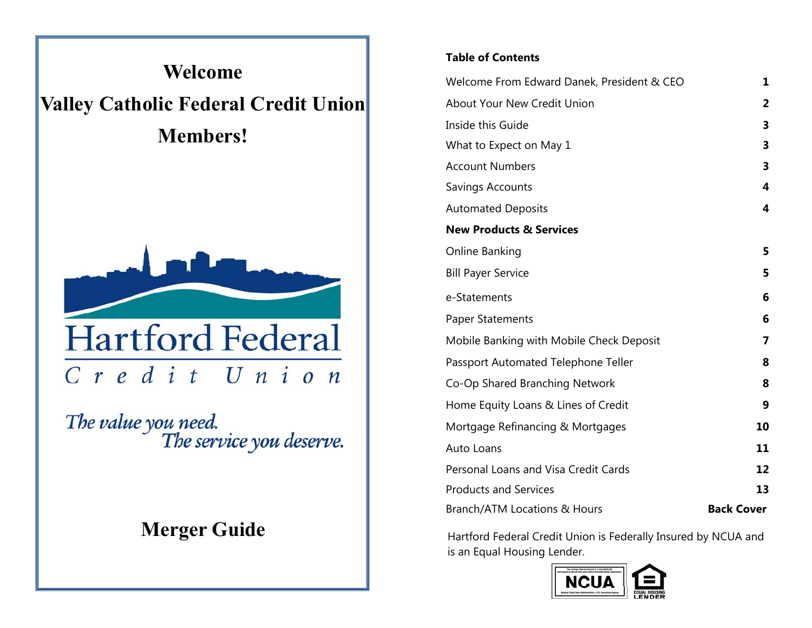

The value you need.<br>The service you deserve.

#### **Table of Contents**

| Welcome From Edward Danek, President & CEO | 1                 |
|--------------------------------------------|-------------------|
| About Your New Credit Union                | 2                 |
| Inside this Guide                          | 3                 |
| What to Expect on May 1                    | 3                 |
| <b>Account Numbers</b>                     | 3                 |
| Savings Accounts                           | 4                 |
| <b>Automated Deposits</b>                  | 4                 |
| <b>New Products &amp; Services</b>         |                   |
| Online Banking                             | 5                 |
| <b>Bill Payer Service</b>                  | 5                 |
| e-Statements                               | 6                 |
| <b>Paper Statements</b>                    | 6                 |
| Mobile Banking with Mobile Check Deposit   | 7                 |
| Passport Automated Telephone Teller        | 8                 |
| Co-Op Shared Branching Network             | 8                 |
| Home Equity Loans & Lines of Credit        | 9                 |
| Mortgage Refinancing & Mortgages           | 10                |
| Auto Loans                                 | 11                |
| Personal Loans and Visa Credit Cards       | 12                |
| <b>Products and Services</b>               | 13                |
| Branch/ATM Locations & Hours               | <b>Back Cover</b> |

**Merger Guide**  $\parallel$  Hartford Federal Credit Union is Federally Insured by NCUA and is an Equal Housing Lender.

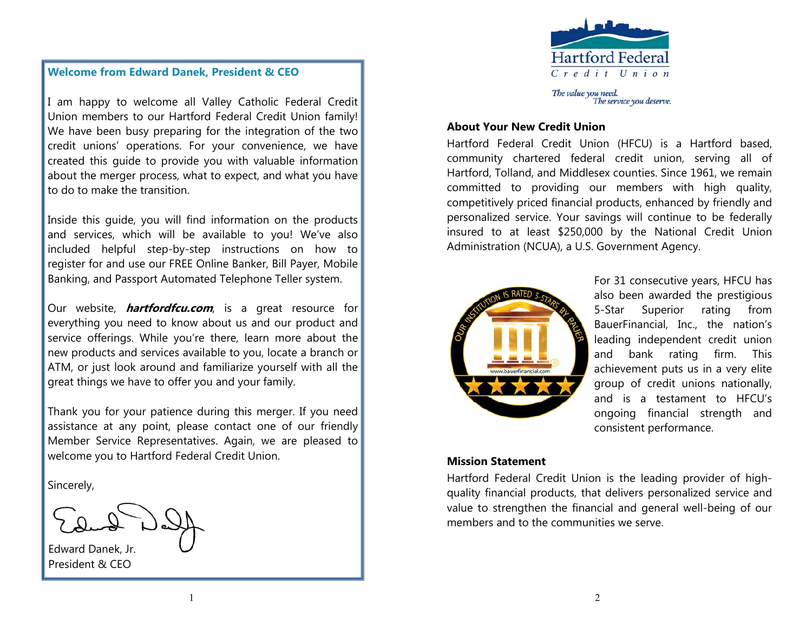

#### **Welcome from Edward Danek, President & CEO**

I am happy to welcome all Valley Catholic Federal Credit Union members to our Hartford Federal Credit Union family! We have been busy preparing for the integration of the two credit unions' operations. For your convenience, we have created this guide to provide you with valuable information about the merger process, what to expect, and what you have to do to make the transition.

Inside this guide, you will find information on the products and services, which will be available to you! We've also included helpful step-by-step instructions on how to register for and use our FREE Online Banker, Bill Payer, Mobile Banking, and Passport Automated Telephone Teller system.

Our website, **hartfordfcu.com**, is a great resource for everything you need to know about us and our product and service offerings. While you're there, learn more about the new products and services available to you, locate a branch or ATM, or just look around and familiarize yourself with all the great things we have to offer you and your family.

Thank you for your patience during this merger. If you need assistance at any point, please contact one of our friendly Member Service Representatives. Again, we are pleased to welcome you to Hartford Federal Credit Union.

Sincerely,

Edward Danek, Jr. President & CEO

#### **About Your New Credit Union**

Hartford Federal Credit Union (HFCU) is a Hartford based, community chartered federal credit union, serving all of Hartford, Tolland, and Middlesex counties. Since 1961, we remain committed to providing our members with high quality, competitively priced financial products, enhanced by friendly and personalized service. Your savings will continue to be federally insured to at least \$250,000 by the National Credit Union Administration (NCUA), a U.S. Government Agency.



For 31 consecutive years, HFCU has also been awarded the prestigious 5-Star Superior rating from BauerFinancial, Inc., the nation's leading independent credit union and bank rating firm. This achievement puts us in a very elite group of credit unions nationally, and is a testament to HFCU's ongoing financial strength and consistent performance.

#### **Mission Statement**

Hartford Federal Credit Union is the leading provider of highquality financial products, that delivers personalized service and value to strengthen the financial and general well-being of our members and to the communities we serve.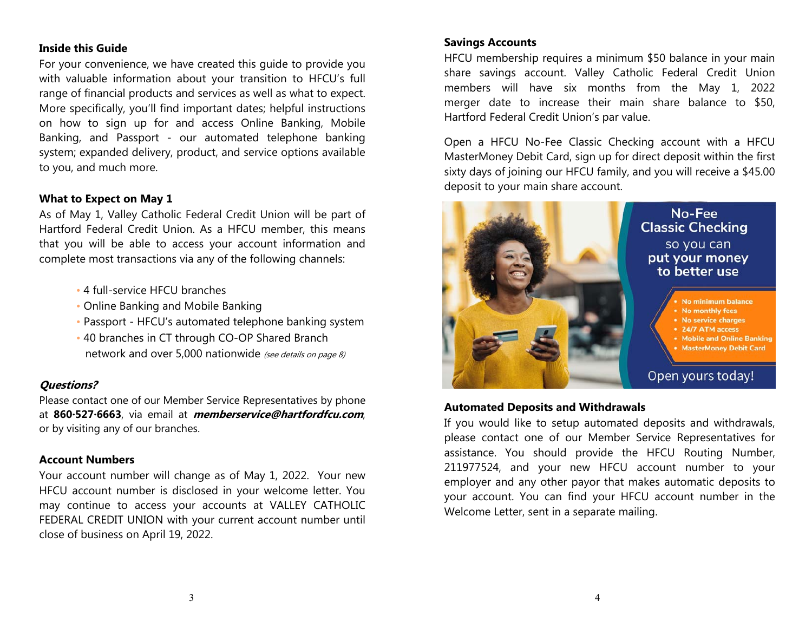#### **Inside this Guide**

For your convenience, we have created this guide to provide you with valuable information about your transition to HFCU's full range of financial products and services as well as what to expect. More specifically, you'll find important dates; helpful instructions on how to sign up for and access Online Banking, Mobile Banking, and Passport - our automated telephone banking system; expanded delivery, product, and service options available to you, and much more.

#### **What to Expect on May 1**

As of May 1, Valley Catholic Federal Credit Union will be part of Hartford Federal Credit Union. As a HFCU member, this means that you will be able to access your account information and complete most transactions via any of the following channels:

- 4 full-service HFCU branches
- Online Banking and Mobile Banking
- Passport HFCU's automated telephone banking system
- 40 branches in CT through CO-OP Shared Branch network and over 5,000 nationwide (see details on page 8)

#### **Questions?**

Please contact one of our Member Service Representatives by phone at **860∙527∙6663**, via email at **memberservice@hartfordfcu.com**, or by visiting any of our branches.

#### **Account Numbers**

Your account number will change as of May 1, 2022. Your new HFCU account number is disclosed in your welcome letter. You may continue to access your accounts at VALLEY CATHOLIC FEDERAL CREDIT UNION with your current account number until close of business on April 19, 2022.

#### **Savings Accounts**

HFCU membership requires a minimum \$50 balance in your main share savings account. Valley Catholic Federal Credit Union members will have six months from the May 1, 2022 merger date to increase their main share balance to \$50, Hartford Federal Credit Union's par value.

Open a HFCU No-Fee Classic Checking account with a HFCU MasterMoney Debit Card, sign up for direct deposit within the first sixty days of joining our HFCU family, and you will receive a \$45.00 deposit to your main share account.



#### **Automated Deposits and Withdrawals**

If you would like to setup automated deposits and withdrawals, please contact one of our Member Service Representatives for assistance. You should provide the HFCU Routing Number, 211977524, and your new HFCU account number to your employer and any other payor that makes automatic deposits to your account. You can find your HFCU account number in the Welcome Letter, sent in a separate mailing.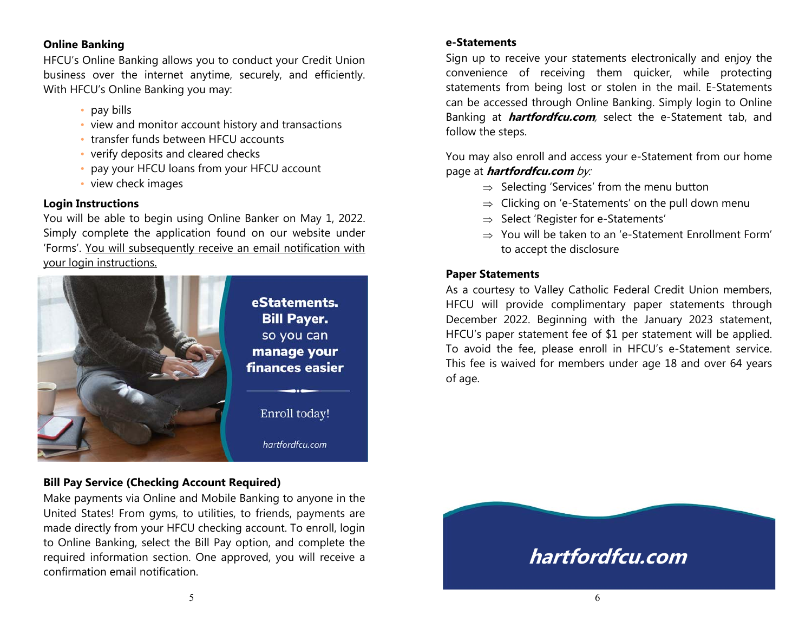#### **Online Banking**

HFCU's Online Banking allows you to conduct your Credit Union business over the internet anytime, securely, and efficiently. With HFCU's Online Banking you may:

- pay bills
- view and monitor account history and transactions
- transfer funds between HFCU accounts
- verify deposits and cleared checks
- pay your HFCU loans from your HFCU account
- view check images

#### **Login Instructions**

You will be able to begin using Online Banker on May 1, 2022. Simply complete the application found on our website under 'Forms'. You will subsequently receive an email notification with your login instructions.



#### **Bill Pay Service (Checking Account Required)**

Make payments via Online and Mobile Banking to anyone in the United States! From gyms, to utilities, to friends, payments are made directly from your HFCU checking account. To enroll, login to Online Banking, select the Bill Pay option, and complete the required information section. One approved, you will receive a confirmation email notification.

#### **e-Statements**

Sign up to receive your statements electronically and enjoy the convenience of receiving them quicker, while protecting statements from being lost or stolen in the mail. E-Statements can be accessed through Online Banking. Simply login to Online Banking at **hartfordfcu.com**, select the e-Statement tab, and follow the steps.

You may also enroll and access your e-Statement from our home page at **hartfordfcu.com** by:

- $\Rightarrow$  Selecting 'Services' from the menu button
- $\Rightarrow$  Clicking on 'e-Statements' on the pull down menu-
- $\Rightarrow$  Select 'Register for e-Statements'  $\;$
- $\Rightarrow$  You will be taken to an 'e-Statement Enrollment Form' to accept the disclosure

#### **Paper Statements**

As a courtesy to Valley Catholic Federal Credit Union members, HFCU will provide complimentary paper statements through December 2022. Beginning with the January 2023 statement, HFCU's paper statement fee of \$1 per statement will be applied. To avoid the fee, please enroll in HFCU's e-Statement service. This fee is waived for members under age 18 and over 64 years of age.

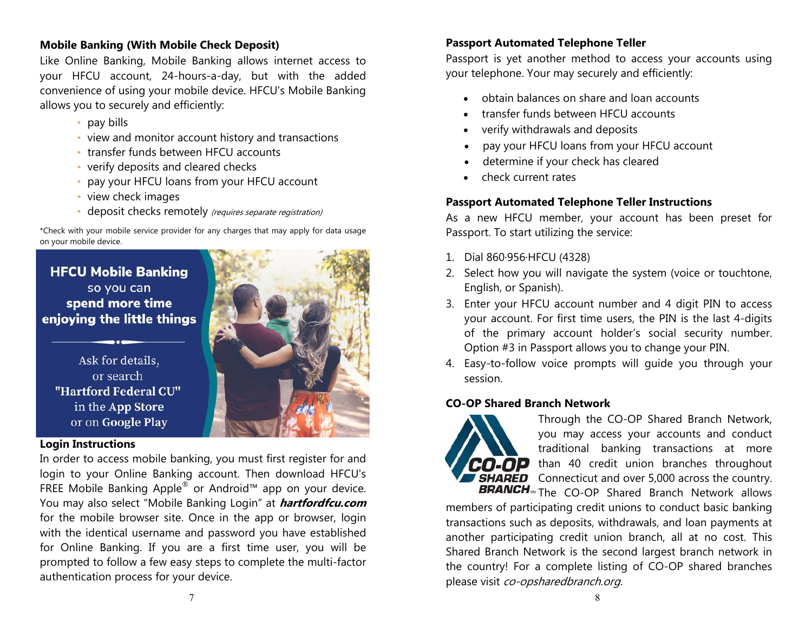#### **Mobile Banking (With Mobile Check Deposit)**

Like Online Banking, Mobile Banking allows internet access to your HFCU account, 24-hours-a-day, but with the added convenience of using your mobile device. HFCU's Mobile Banking allows you to securely and efficiently:

- pay bills
- view and monitor account history and transactions
- transfer funds between HFCU accounts
- verify deposits and cleared checks
- pay your HFCU loans from your HFCU account
- view check images
- deposit checks remotely (requires separate registration)

\*Check with your mobile service provider for any charges that may apply for data usage on your mobile device.

### **HFCU Mobile Banking** so you can spend more time enjoying the little things

Ask for details, or search "Hartford Federal CU" in the App Store or on Google Play

#### **Login Instructions**

In order to access mobile banking, you must first register for and login to your Online Banking account. Then download HFCU's FREE Mobile Banking Apple® or Android™ app on your device. You may also select "Mobile Banking Login" at **hartfordfcu.com**  for the mobile browser site. Once in the app or browser, login with the identical username and password you have established for Online Banking. If you are a first time user, you will be prompted to follow a few easy steps to complete the multi-factor authentication process for your device.



Passport is yet another method to access your accounts using your telephone. Your may securely and efficiently:

- obtain balances on share and loan accounts
- $\bullet$ transfer funds between HFCU accounts
- $\bullet$ verify withdrawals and deposits
- $\bullet$ pay your HFCU loans from your HFCU account
- $\bullet$ determine if your check has cleared
- $\bullet$ check current rates

#### **Passport Automated Telephone Teller Instructions**

As a new HFCU member, your account has been preset for Passport. To start utilizing the service:

- 1. Dial 860∙956∙HFCU (4328)
- 2. Select how you will navigate the system (voice or touchtone, English, or Spanish).
- 3. Enter your HFCU account number and 4 digit PIN to access your account. For first time users, the PIN is the last 4-digits of the primary account holder's social security number. Option #3 in Passport allows you to change your PIN.
- 4. Easy-to-follow voice prompts will guide you through your session.

#### **CO-OP Shared Branch Network**



Through the CO-OP Shared Branch Network, you may access your accounts and conduct traditional banking transactions at more than 40 credit union branches throughout **SHARED** Connecticut and over 5,000 across the country. The CO-OP Shared Branch Network allows

members of participating credit unions to conduct basic banking transactions such as deposits, withdrawals, and loan payments at another participating credit union branch, all at no cost. This Shared Branch Network is the second largest branch network in the country! For a complete listing of CO-OP shared branches please visit co-opsharedbranch.org.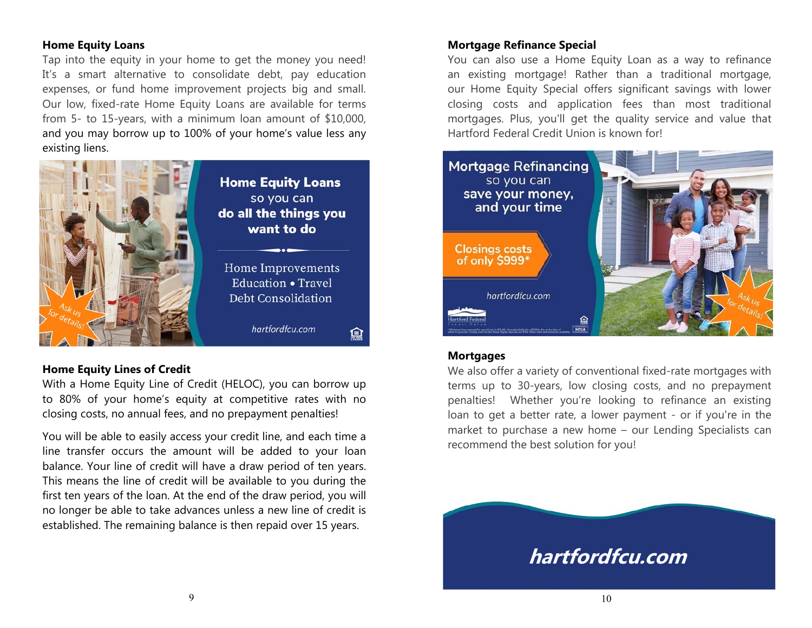#### **Home Equity Loans**

Tap into the equity in your home to get the money you need! It's a smart alternative to consolidate debt, pay education expenses, or fund home improvement projects big and small. Our low, fixed-rate Home Equity Loans are available for terms from 5- to 15-years, with a minimum loan amount of \$10,000, and you may borrow up to 100% of your home's value less any existing liens.



#### **Home Equity Lines of Credit**

With a Home Equity Line of Credit (HELOC), you can borrow up to 80% of your home's equity at competitive rates with no closing costs, no annual fees, and no prepayment penalties!

You will be able to easily access your credit line, and each time a line transfer occurs the amount will be added to your loan balance. Your line of credit will have a draw period of ten years. This means the line of credit will be available to you during the first ten years of the loan. At the end of the draw period, you will no longer be able to take advances unless a new line of credit is established. The remaining balance is then repaid over 15 years.

#### **Mortgage Refinance Special**

You can also use a Home Equity Loan as a way to refinance an existing mortgage! Rather than a traditional mortgage, our Home Equity Special offers significant savings with lower closing costs and application fees than most traditional mortgages. Plus, you'll get the quality service and value that Hartford Federal Credit Union is known for!



#### **Mortgages**

We also offer a variety of conventional fixed-rate mortgages with terms up to 30-years, low closing costs, and no prepayment penalties! Whether you're looking to refinance an existing loan to get a better rate, a lower payment - or if you're in the market to purchase a new home – our Lending Specialists can recommend the best solution for you!

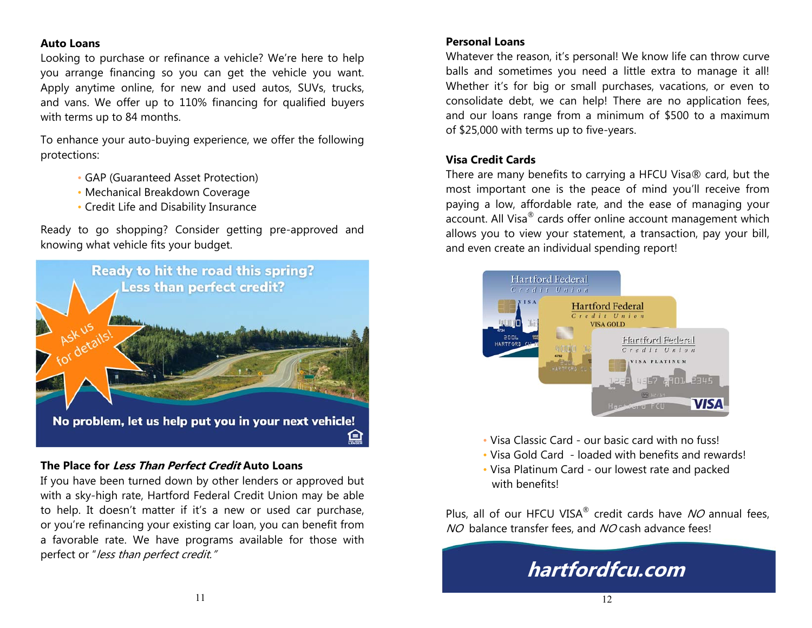#### **Auto Loans**

Looking to purchase or refinance a vehicle? We're here to help you arrange financing so you can get the vehicle you want. Apply anytime online, for new and used autos, SUVs, trucks, and vans. We offer up to 110% financing for qualified buyers with terms up to 84 months.

To enhance your auto-buying experience, we offer the following protections:

- GAP (Guaranteed Asset Protection)
- Mechanical Breakdown Coverage
- Credit Life and Disability Insurance

Ready to go shopping? Consider getting pre-approved and knowing what vehicle fits your budget.



#### **The Place for Less Than Perfect Credit Auto Loans**

If you have been turned down by other lenders or approved but with a sky-high rate, Hartford Federal Credit Union may be able to help. It doesn't matter if it's a new or used car purchase, or you're refinancing your existing car loan, you can benefit from a favorable rate. We have programs available for those with perfect or "less than perfect credit."

#### **Personal Loans**

Whatever the reason, it's personal! We know life can throw curve balls and sometimes you need a little extra to manage it all! Whether it's for big or small purchases, vacations, or even to consolidate debt, we can help! There are no application fees, and our loans range from a minimum of \$500 to a maximum of \$25,000 with terms up to five-years.

#### **Visa Credit Cards**

There are many benefits to carrying a HFCU Visa® card, but the most important one is the peace of mind you'll receive from paying a low, affordable rate, and the ease of managing your account. All Visa® cards offer online account management which allows you to view your statement, a transaction, pay your bill, and even create an individual spending report!



- Visa Classic Card our basic card with no fuss!
- Visa Gold Card loaded with benefits and rewards!
- Visa Platinum Card our lowest rate and packed with benefits!

Plus, all of our HFCU VISA<sup>®</sup> credit cards have  $NO$  annual fees. NO balance transfer fees, and NO cash advance fees!

# **hartfordfcu.com**